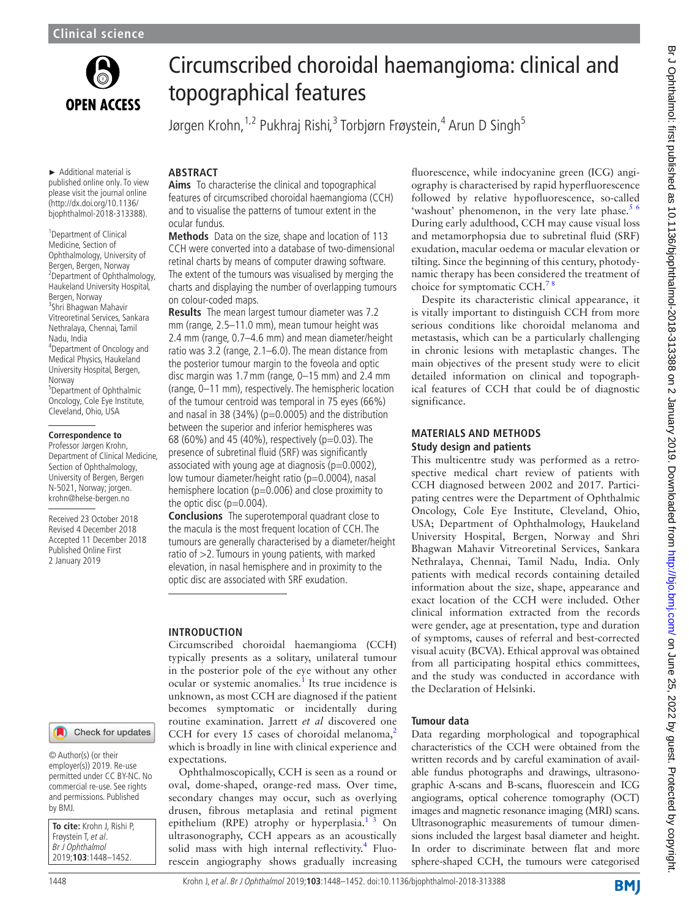

► Additional material is published online only. To view please visit the journal online (http://dx.doi.org/10.1136/ bjophthalmol-2018-313388).

<sup>1</sup>Department of Clinical Medicine, Section of Ophthalmology, University of Bergen, Bergen, Norway 2 Department of Ophthalmology, Haukeland University Hospital, Bergen, Norway 3 Shri Bhagwan Mahavir Vitreoretinal Services, Sankara Nethralaya, Chennai, Tamil Nadu, India 4 Department of Oncology and Medical Physics, Haukeland University Hospital, Bergen, Norway <sup>5</sup>Department of Ophthalmic Oncology, Cole Eye Institute, Cleveland, Ohio, USA

#### **Correspondence to**

Professor Jørgen Krohn, Department of Clinical Medicine, Section of Ophthalmology, University of Bergen, Bergen N-5021, Norway; jorgen. krohn@helse-bergen.no

Received 23 October 2018 Revised 4 December 2018 Accepted 11 December 2018 Published Online First 2 January 2019



© Author(s) (or their employer(s)) 2019. Re-use permitted under CC BY-NC. No commercial re-use. See rights and permissions. Published by BMJ.

| To cite: Krohn J, Rishi P, |
|----------------------------|
| Frøystein T, et al.        |
| Br J Ophthalmol            |
| 2019;103:1448-1452.        |

# Circumscribed choroidal haemangioma: clinical and topographical features

Jørgen Krohn,<sup>1,2</sup> Pukhraj Rishi,<sup>3</sup> Torbjørn Frøystein,<sup>4</sup> Arun D Singh<sup>5</sup>

## **ARSTRACT**

**Aims** To characterise the clinical and topographical features of circumscribed choroidal haemangioma (CCH) and to visualise the patterns of tumour extent in the ocular fundus.

**Methods** Data on the size, shape and location of 113 CCH were converted into a database of two-dimensional retinal charts by means of computer drawing software. The extent of the tumours was visualised by merging the charts and displaying the number of overlapping tumours on colour-coded maps.

**Results** The mean largest tumour diameter was 7.2 mm (range, 2.5–11.0 mm), mean tumour height was 2.4 mm (range, 0.7–4.6 mm) and mean diameter/height ratio was 3.2 (range, 2.1–6.0). The mean distance from the posterior tumour margin to the foveola and optic disc margin was 1.7mm (range, 0–15 mm) and 2.4 mm (range, 0–11 mm), respectively. The hemispheric location of the tumour centroid was temporal in 75 eyes (66%) and nasal in 38 (34%) (p=0.0005) and the distribution between the superior and inferior hemispheres was 68 (60%) and 45 (40%), respectively ( $p=0.03$ ). The presence of subretinal fluid (SRF) was significantly associated with young age at diagnosis ( $p=0.0002$ ), low tumour diameter/height ratio (p=0.0004), nasal hemisphere location (p=0.006) and close proximity to the optic disc  $(p=0.004)$ .

**Conclusions** The superotemporal quadrant close to the macula is the most frequent location of CCH. The tumours are generally characterised by a diameter/height ratio of >2. Tumours in young patients, with marked elevation, in nasal hemisphere and in proximity to the optic disc are associated with SRF exudation.

## **Introduction**

Circumscribed choroidal haemangioma (CCH) typically presents as a solitary, unilateral tumour in the posterior pole of the eye without any other ocular or systemic anomalies.<sup>[1](#page-4-0)</sup> Its true incidence is unknown, as most CCH are diagnosed if the patient becomes symptomatic or incidentally during routine examination. Jarrett *et al* discovered one CCH for every 15 cases of choroidal melanoma, $<sup>2</sup>$  $<sup>2</sup>$  $<sup>2</sup>$ </sup> which is broadly in line with clinical experience and expectations.

Ophthalmoscopically, CCH is seen as a round or oval, dome-shaped, orange-red mass. Over time, secondary changes may occur, such as overlying drusen, fibrous metaplasia and retinal pigment epithelium (RPE) atrophy or hyperplasia.<sup>1 3</sup> On ultrasonography, CCH appears as an acoustically solid mass with high internal reflectivity.<sup>[4](#page-4-2)</sup> Fluorescein angiography shows gradually increasing

fluorescence, while indocyanine green (ICG) angiography is characterised by rapid hyperfluorescence followed by relative hypofluorescence, so-called 'washout' phenomenon, in the very late phase. $5\frac{6}{10}$ During early adulthood, CCH may cause visual loss and metamorphopsia due to subretinal fluid (SRF) exudation, macular oedema or macular elevation or tilting. Since the beginning of this century, photodynamic therapy has been considered the treatment of choice for symptomatic CCH.[7 8](#page-4-4)

Despite its characteristic clinical appearance, it is vitally important to distinguish CCH from more serious conditions like choroidal melanoma and metastasis, which can be a particularly challenging in chronic lesions with metaplastic changes. The main objectives of the present study were to elicit detailed information on clinical and topographical features of CCH that could be of diagnostic significance.

#### **Materials and methods Study design and patients**

This multicentre study was performed as a retrospective medical chart review of patients with CCH diagnosed between 2002 and 2017. Participating centres were the Department of Ophthalmic Oncology, Cole Eye Institute, Cleveland, Ohio, USA; Department of Ophthalmology, Haukeland University Hospital, Bergen, Norway and Shri Bhagwan Mahavir Vitreoretinal Services, Sankara Nethralaya, Chennai, Tamil Nadu, India. Only patients with medical records containing detailed information about the size, shape, appearance and exact location of the CCH were included. Other clinical information extracted from the records were gender, age at presentation, type and duration of symptoms, causes of referral and best-corrected visual acuity (BCVA). Ethical approval was obtained from all participating hospital ethics committees, and the study was conducted in accordance with the Declaration of Helsinki.

#### **Tumour data**

Data regarding morphological and topographical characteristics of the CCH were obtained from the written records and by careful examination of available fundus photographs and drawings, ultrasonographic A-scans and B-scans, fluorescein and ICG angiograms, optical coherence tomography (OCT) images and magnetic resonance imaging (MRI) scans. Ultrasonographic measurements of tumour dimensions included the largest basal diameter and height. In order to discriminate between flat and more sphere-shaped CCH, the tumours were categorised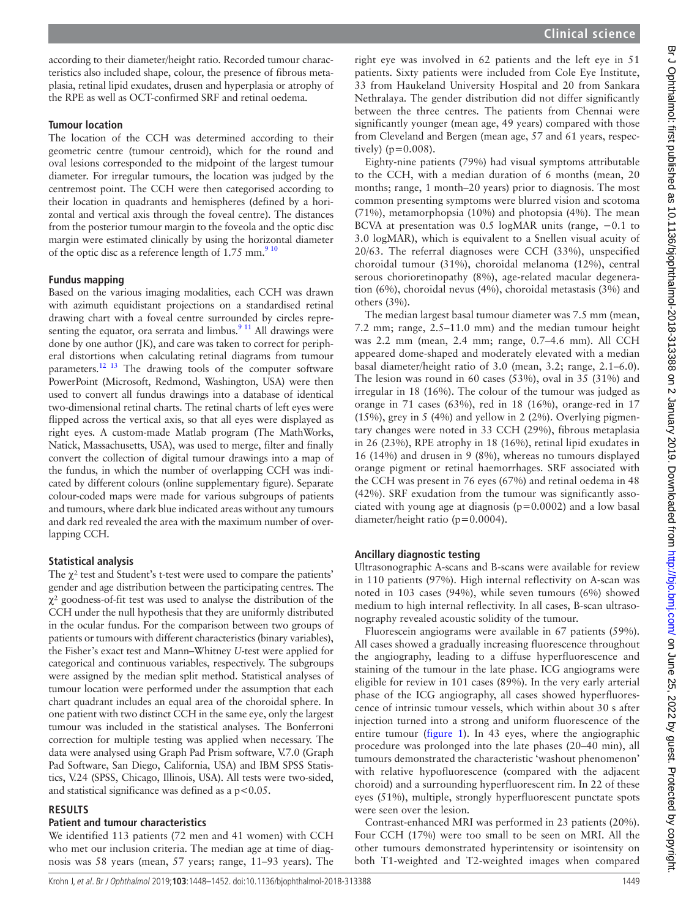according to their diameter/height ratio. Recorded tumour characteristics also included shape, colour, the presence of fibrous metaplasia, retinal lipid exudates, drusen and hyperplasia or atrophy of the RPE as well as OCT-confirmed SRF and retinal oedema.

#### **Tumour location**

The location of the CCH was determined according to their geometric centre (tumour centroid), which for the round and oval lesions corresponded to the midpoint of the largest tumour diameter. For irregular tumours, the location was judged by the centremost point. The CCH were then categorised according to their location in quadrants and hemispheres (defined by a horizontal and vertical axis through the foveal centre). The distances from the posterior tumour margin to the foveola and the optic disc margin were estimated clinically by using the horizontal diameter of the optic disc as a reference length of  $1.75$  mm.<sup>9 10</sup>

#### **Fundus mapping**

Based on the various imaging modalities, each CCH was drawn with azimuth equidistant projections on a standardised retinal drawing chart with a foveal centre surrounded by circles representing the equator, ora serrata and limbus.<sup>9 11</sup> All drawings were done by one author (JK), and care was taken to correct for peripheral distortions when calculating retinal diagrams from tumour parameters.<sup>12 13</sup> The drawing tools of the computer software PowerPoint (Microsoft, Redmond, Washington, USA) were then used to convert all fundus drawings into a database of identical two-dimensional retinal charts. The retinal charts of left eyes were flipped across the vertical axis, so that all eyes were displayed as right eyes. A custom-made Matlab program (The MathWorks, Natick, Massachusetts, USA), was used to merge, filter and finally convert the collection of digital tumour drawings into a map of the fundus, in which the number of overlapping CCH was indicated by different colours (online [supplementary figure\)](https://dx.doi.org/10.1136/bjophthalmol-2018-313388). Separate colour-coded maps were made for various subgroups of patients and tumours, where dark blue indicated areas without any tumours and dark red revealed the area with the maximum number of overlapping CCH.

## **Statistical analysis**

The  $\chi^2$  test and Student's t-test were used to compare the patients' gender and age distribution between the participating centres. The  $\chi^2$  goodness-of-fit test was used to analyse the distribution of the CCH under the null hypothesis that they are uniformly distributed in the ocular fundus. For the comparison between two groups of patients or tumours with different characteristics (binary variables), the Fisher's exact test and Mann–Whitney *U*-test were applied for categorical and continuous variables, respectively. The subgroups were assigned by the median split method. Statistical analyses of tumour location were performed under the assumption that each chart quadrant includes an equal area of the choroidal sphere. In one patient with two distinct CCH in the same eye, only the largest tumour was included in the statistical analyses. The Bonferroni correction for multiple testing was applied when necessary. The data were analysed using Graph Pad Prism software, V.7.0 (Graph Pad Software, San Diego, California, USA) and IBM SPSS Statistics, V.24 (SPSS, Chicago, Illinois, USA). All tests were two-sided, and statistical significance was defined as a  $p < 0.05$ .

#### **Results**

## **Patient and tumour characteristics**

We identified 113 patients (72 men and 41 women) with CCH who met our inclusion criteria. The median age at time of diagnosis was 58 years (mean, 57 years; range, 11–93 years). The

right eye was involved in 62 patients and the left eye in 51 patients. Sixty patients were included from Cole Eye Institute, 33 from Haukeland University Hospital and 20 from Sankara Nethralaya. The gender distribution did not differ significantly between the three centres. The patients from Chennai were significantly younger (mean age, 49 years) compared with those from Cleveland and Bergen (mean age, 57 and 61 years, respectively) ( $p = 0.008$ ).

Eighty-nine patients (79%) had visual symptoms attributable to the CCH, with a median duration of 6 months (mean, 20 months; range, 1 month–20 years) prior to diagnosis. The most common presenting symptoms were blurred vision and scotoma (71%), metamorphopsia (10%) and photopsia (4%). The mean BCVA at presentation was 0.5 logMAR units (range, −0.1 to 3.0 logMAR), which is equivalent to a Snellen visual acuity of 20/63. The referral diagnoses were CCH (33%), unspecified choroidal tumour (31%), choroidal melanoma (12%), central serous chorioretinopathy (8%), age-related macular degeneration (6%), choroidal nevus (4%), choroidal metastasis (3%) and others (3%).

The median largest basal tumour diameter was 7.5 mm (mean, 7.2 mm; range, 2.5–11.0 mm) and the median tumour height was 2.2 mm (mean, 2.4 mm; range, 0.7–4.6 mm). All CCH appeared dome-shaped and moderately elevated with a median basal diameter/height ratio of 3.0 (mean, 3.2; range, 2.1–6.0). The lesion was round in 60 cases (53%), oval in 35 (31%) and irregular in 18 (16%). The colour of the tumour was judged as orange in 71 cases (63%), red in 18 (16%), orange-red in 17 (15%), grey in 5 (4%) and yellow in 2 (2%). Overlying pigmentary changes were noted in 33 CCH (29%), fibrous metaplasia in 26 (23%), RPE atrophy in 18 (16%), retinal lipid exudates in 16 (14%) and drusen in 9 (8%), whereas no tumours displayed orange pigment or retinal haemorrhages. SRF associated with the CCH was present in 76 eyes (67%) and retinal oedema in 48 (42%). SRF exudation from the tumour was significantly associated with young age at diagnosis  $(p=0.0002)$  and a low basal diameter/height ratio (p=0.0004).

## **Ancillary diagnostic testing**

Ultrasonographic A-scans and B-scans were available for review in 110 patients (97%). High internal reflectivity on A-scan was noted in 103 cases (94%), while seven tumours (6%) showed medium to high internal reflectivity. In all cases, B-scan ultrasonography revealed acoustic solidity of the tumour.

Fluorescein angiograms were available in 67 patients (59%). All cases showed a gradually increasing fluorescence throughout the angiography, leading to a diffuse hyperfluorescence and staining of the tumour in the late phase. ICG angiograms were eligible for review in 101 cases (89%). In the very early arterial phase of the ICG angiography, all cases showed hyperfluorescence of intrinsic tumour vessels, which within about 30 s after injection turned into a strong and uniform fluorescence of the entire tumour [\(figure](#page-2-0) 1). In 43 eyes, where the angiographic procedure was prolonged into the late phases (20–40 min), all tumours demonstrated the characteristic 'washout phenomenon' with relative hypofluorescence (compared with the adjacent choroid) and a surrounding hyperfluorescent rim. In 22 of these eyes (51%), multiple, strongly hyperfluorescent punctate spots were seen over the lesion.

Contrast-enhanced MRI was performed in 23 patients (20%). Four CCH (17%) were too small to be seen on MRI. All the other tumours demonstrated hyperintensity or isointensity on both T1-weighted and T2-weighted images when compared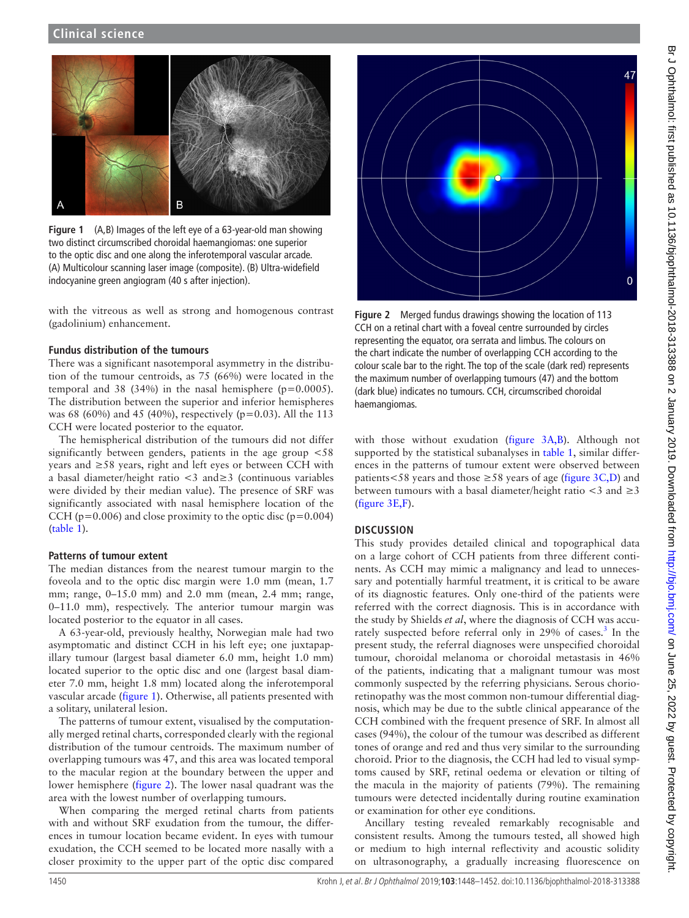

<span id="page-2-0"></span>**Figure 1** (A,B) Images of the left eye of a 63-year-old man showing two distinct circumscribed choroidal haemangiomas: one superior to the optic disc and one along the inferotemporal vascular arcade. (A) Multicolour scanning laser image (composite). (B) Ultra-widefield indocyanine green angiogram (40 s after injection).

with the vitreous as well as strong and homogenous contrast (gadolinium) enhancement.

### **Fundus distribution of the tumours**

There was a significant nasotemporal asymmetry in the distribution of the tumour centroids, as 75 (66%) were located in the temporal and 38 (34%) in the nasal hemisphere ( $p=0.0005$ ). The distribution between the superior and inferior hemispheres was 68 (60%) and 45 (40%), respectively (p=0.03). All the 113 CCH were located posterior to the equator.

The hemispherical distribution of the tumours did not differ significantly between genders, patients in the age group <58 years and ≥58 years, right and left eyes or between CCH with a basal diameter/height ratio <3 and≥3 (continuous variables were divided by their median value). The presence of SRF was significantly associated with nasal hemisphere location of the CCH ( $p=0.006$ ) and close proximity to the optic disc ( $p=0.004$ ) ([table](#page-3-0) 1).

## **Patterns of tumour extent**

The median distances from the nearest tumour margin to the foveola and to the optic disc margin were 1.0 mm (mean, 1.7 mm; range, 0–15.0 mm) and 2.0 mm (mean, 2.4 mm; range, 0–11.0 mm), respectively. The anterior tumour margin was located posterior to the equator in all cases.

A 63-year-old, previously healthy, Norwegian male had two asymptomatic and distinct CCH in his left eye; one juxtapapillary tumour (largest basal diameter 6.0 mm, height 1.0 mm) located superior to the optic disc and one (largest basal diameter 7.0 mm, height 1.8 mm) located along the inferotemporal vascular arcade ([figure](#page-2-0) 1). Otherwise, all patients presented with a solitary, unilateral lesion.

The patterns of tumour extent, visualised by the computationally merged retinal charts, corresponded clearly with the regional distribution of the tumour centroids. The maximum number of overlapping tumours was 47, and this area was located temporal to the macular region at the boundary between the upper and lower hemisphere [\(figure](#page-2-1) 2). The lower nasal quadrant was the area with the lowest number of overlapping tumours.

When comparing the merged retinal charts from patients with and without SRF exudation from the tumour, the differences in tumour location became evident. In eyes with tumour exudation, the CCH seemed to be located more nasally with a closer proximity to the upper part of the optic disc compared



<span id="page-2-1"></span>**Figure 2** Merged fundus drawings showing the location of 113 CCH on a retinal chart with a foveal centre surrounded by circles representing the equator, ora serrata and limbus. The colours on the chart indicate the number of overlapping CCH according to the colour scale bar to the right. The top of the scale (dark red) represents the maximum number of overlapping tumours (47) and the bottom (dark blue) indicates no tumours. CCH, circumscribed choroidal haemangiomas.

with those without exudation ([figure](#page-3-1) 3A,B). Although not supported by the statistical subanalyses in [table](#page-3-0) 1, similar differences in the patterns of tumour extent were observed between patients<58 years and those  $\geq$ 58 years of age ([figure](#page-3-1) 3C,D) and between tumours with a basal diameter/height ratio  $<3$  and  $\geq 3$ ([figure](#page-3-1) 3E,F).

## **Discussion**

This study provides detailed clinical and topographical data on a large cohort of CCH patients from three different continents. As CCH may mimic a malignancy and lead to unnecessary and potentially harmful treatment, it is critical to be aware of its diagnostic features. Only one-third of the patients were referred with the correct diagnosis. This is in accordance with the study by Shields *et al*, where the diagnosis of CCH was accu-rately suspected before referral only in 29% of cases.<sup>[3](#page-4-7)</sup> In the present study, the referral diagnoses were unspecified choroidal tumour, choroidal melanoma or choroidal metastasis in 46% of the patients, indicating that a malignant tumour was most commonly suspected by the referring physicians. Serous chorioretinopathy was the most common non-tumour differential diagnosis, which may be due to the subtle clinical appearance of the CCH combined with the frequent presence of SRF. In almost all cases (94%), the colour of the tumour was described as different tones of orange and red and thus very similar to the surrounding choroid. Prior to the diagnosis, the CCH had led to visual symptoms caused by SRF, retinal oedema or elevation or tilting of the macula in the majority of patients (79%). The remaining tumours were detected incidentally during routine examination or examination for other eye conditions.

Ancillary testing revealed remarkably recognisable and consistent results. Among the tumours tested, all showed high or medium to high internal reflectivity and acoustic solidity on ultrasonography, a gradually increasing fluorescence on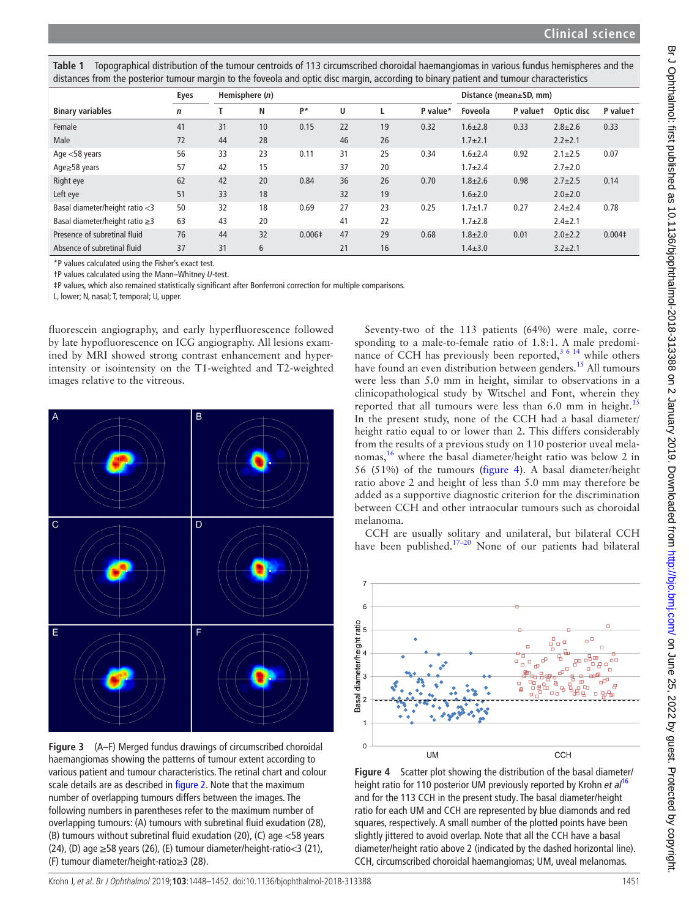<span id="page-3-0"></span>**Table 1** Topographical distribution of the tumour centroids of 113 circumscribed choroidal haemangiomas in various fundus hemispheres and the distances from the posterior tumour margin to the foveola and optic disc margin, according to binary patient and tumour characteristics

|                                | <b>Eyes</b>  | Hemisphere (n) |    |                  |    |    |          | Distance (mean±SD, mm) |          |               |                  |
|--------------------------------|--------------|----------------|----|------------------|----|----|----------|------------------------|----------|---------------|------------------|
| <b>Binary variables</b>        | $\mathsf{n}$ |                | N  | P*               | U  |    | P value* | Foveola                | P valuet | Optic disc    | P valuet         |
| Female                         | 41           | 31             | 10 | 0.15             | 22 | 19 | 0.32     | $1.6 + 2.8$            | 0.33     | $2.8 \pm 2.6$ | 0.33             |
| Male                           | 72           | 44             | 28 |                  | 46 | 26 |          | $1.7 \pm 2.1$          |          | $2.2 \pm 2.1$ |                  |
| Age $<$ 58 years               | 56           | 33             | 23 | 0.11             | 31 | 25 | 0.34     | $1.6 + 2.4$            | 0.92     | $2.1 \pm 2.5$ | 0.07             |
| Age≥58 years                   | 57           | 42             | 15 |                  | 37 | 20 |          | $1.7 + 2.4$            |          | $2.7 \pm 2.0$ |                  |
| Right eye                      | 62           | 42             | 20 | 0.84             | 36 | 26 | 0.70     | $1.8 + 2.6$            | 0.98     | $2.7 \pm 2.5$ | 0.14             |
| Left eye                       | 51           | 33             | 18 |                  | 32 | 19 |          | $1.6 + 2.0$            |          | $2.0 \pm 2.0$ |                  |
| Basal diameter/height ratio <3 | 50           | 32             | 18 | 0.69             | 27 | 23 | 0.25     | $1.7 + 1.7$            | 0.27     | $2.4 \pm 2.4$ | 0.78             |
| Basal diameter/height ratio ≥3 | 63           | 43             | 20 |                  | 41 | 22 |          | $1.7 + 2.8$            |          | $2.4 \pm 2.1$ |                  |
| Presence of subretinal fluid   | 76           | 44             | 32 | $0.006 \ddagger$ | 47 | 29 | 0.68     | $1.8 + 2.0$            | 0.01     | $2.0 + 2.2$   | $0.004 \ddagger$ |
| Absence of subretinal fluid    | 37           | 31             | 6  |                  | 21 | 16 |          | $1.4 \pm 3.0$          |          | $3.2 \pm 2.1$ |                  |

\*P values calculated using the Fisher's exact test.

†P values calculated using the Mann–Whitney *U*-test.

‡P values, which also remained statistically significant after Bonferroni correction for multiple comparisons.

L, lower; N, nasal; T, temporal; U, upper.

fluorescein angiography, and early hyperfluorescence followed by late hypofluorescence on ICG angiography. All lesions examined by MRI showed strong contrast enhancement and hyperintensity or isointensity on the T1-weighted and T2-weighted images relative to the vitreous.



<span id="page-3-1"></span>**Figure 3** (A–F) Merged fundus drawings of circumscribed choroidal haemangiomas showing the patterns of tumour extent according to various patient and tumour characteristics. The retinal chart and colour scale details are as described in [figure 2.](#page-2-1) Note that the maximum number of overlapping tumours differs between the images. The following numbers in parentheses refer to the maximum number of overlapping tumours: (A) tumours with subretinal fluid exudation (28), (B) tumours without subretinal fluid exudation (20), (C) age <58 years (24), (D) age ≥58 years (26), (E) tumour diameter/height-ratio<3 (21), (F) tumour diameter/height-ratio≥3 (28).

Seventy-two of the 113 patients (64%) were male, corresponding to a male-to-female ratio of 1.8:1. A male predominance of CCH has previously been reported,  $3/6$  14 while others have found an even distribution between genders.<sup>[15](#page-4-9)</sup> All tumours were less than 5.0 mm in height, similar to observations in a clinicopathological study by Witschel and Font, wherein they reported that all tumours were less than  $6.0$  mm in height.<sup>[15](#page-4-9)</sup> In the present study, none of the CCH had a basal diameter/ height ratio equal to or lower than 2. This differs considerably from the results of a previous study on 110 posterior uveal melanomas,[16](#page-4-8) where the basal diameter/height ratio was below 2 in 56 (51%) of the tumours [\(figure](#page-3-2) 4). A basal diameter/height ratio above 2 and height of less than 5.0 mm may therefore be added as a supportive diagnostic criterion for the discrimination between CCH and other intraocular tumours such as choroidal melanoma.

CCH are usually solitary and unilateral, but bilateral CCH have been published.<sup>17-20</sup> None of our patients had bilateral



<span id="page-3-2"></span>**Figure 4** Scatter plot showing the distribution of the basal diameter/ height ratio for 110 posterior UM previously reported by Krohn *et al*[16](#page-4-8) and for the 113 CCH in the present study. The basal diameter/height ratio for each UM and CCH are represented by blue diamonds and red squares, respectively. A small number of the plotted points have been slightly jittered to avoid overlap. Note that all the CCH have a basal diameter/height ratio above 2 (indicated by the dashed horizontal line). CCH, circumscribed choroidal haemangiomas; UM, uveal melanomas.